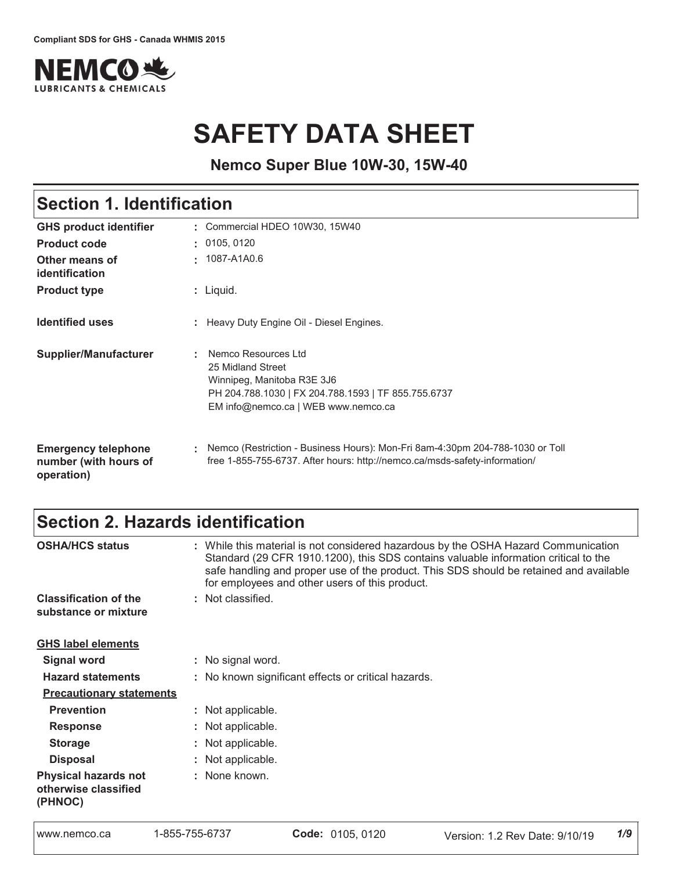

# **SAFETY DATA SHEET**

**Nemco Super Blue 10W-30, 15W-40**

# Section 1. Identification

| <b>GHS product identifier</b>                                     | Commercial HDEO 10W30, 15W40                                                                                                                                         |
|-------------------------------------------------------------------|----------------------------------------------------------------------------------------------------------------------------------------------------------------------|
| <b>Product code</b>                                               | : 0105, 0120                                                                                                                                                         |
| Other means of<br>identification                                  | 1087-A1A0.6                                                                                                                                                          |
| <b>Product type</b>                                               | : Liquid.                                                                                                                                                            |
| <b>Identified uses</b>                                            | : Heavy Duty Engine Oil - Diesel Engines.                                                                                                                            |
| <b>Supplier/Manufacturer</b>                                      | Nemco Resources Ltd<br>25 Midland Street<br>Winnipeg, Manitoba R3E 3J6<br>PH 204.788.1030   FX 204.788.1593   TF 855.755.6737<br>EM info@nemco.ca   WEB www.nemco.ca |
| <b>Emergency telephone</b><br>number (with hours of<br>operation) | Nemco (Restriction - Business Hours): Mon-Fri 8am-4:30pm 204-788-1030 or Toll<br>free 1-855-755-6737. After hours: http://nemco.ca/msds-safety-information/          |

### Section 2. Hazards identification

| <b>OSHA/HCS status</b>                                         | : While this material is not considered hazardous by the OSHA Hazard Communication<br>Standard (29 CFR 1910.1200), this SDS contains valuable information critical to the<br>safe handling and proper use of the product. This SDS should be retained and available<br>for employees and other users of this product. |
|----------------------------------------------------------------|-----------------------------------------------------------------------------------------------------------------------------------------------------------------------------------------------------------------------------------------------------------------------------------------------------------------------|
| <b>Classification of the</b><br>substance or mixture           | : Not classified.                                                                                                                                                                                                                                                                                                     |
| <b>GHS label elements</b>                                      |                                                                                                                                                                                                                                                                                                                       |
| Signal word                                                    | : No signal word.                                                                                                                                                                                                                                                                                                     |
| <b>Hazard statements</b>                                       | : No known significant effects or critical hazards.                                                                                                                                                                                                                                                                   |
| <b>Precautionary statements</b>                                |                                                                                                                                                                                                                                                                                                                       |
| <b>Prevention</b>                                              | : Not applicable.                                                                                                                                                                                                                                                                                                     |
| <b>Response</b>                                                | : Not applicable.                                                                                                                                                                                                                                                                                                     |
| <b>Storage</b>                                                 | : Not applicable.                                                                                                                                                                                                                                                                                                     |
| <b>Disposal</b>                                                | : Not applicable.                                                                                                                                                                                                                                                                                                     |
| <b>Physical hazards not</b><br>otherwise classified<br>(PHNOC) | : None known.                                                                                                                                                                                                                                                                                                         |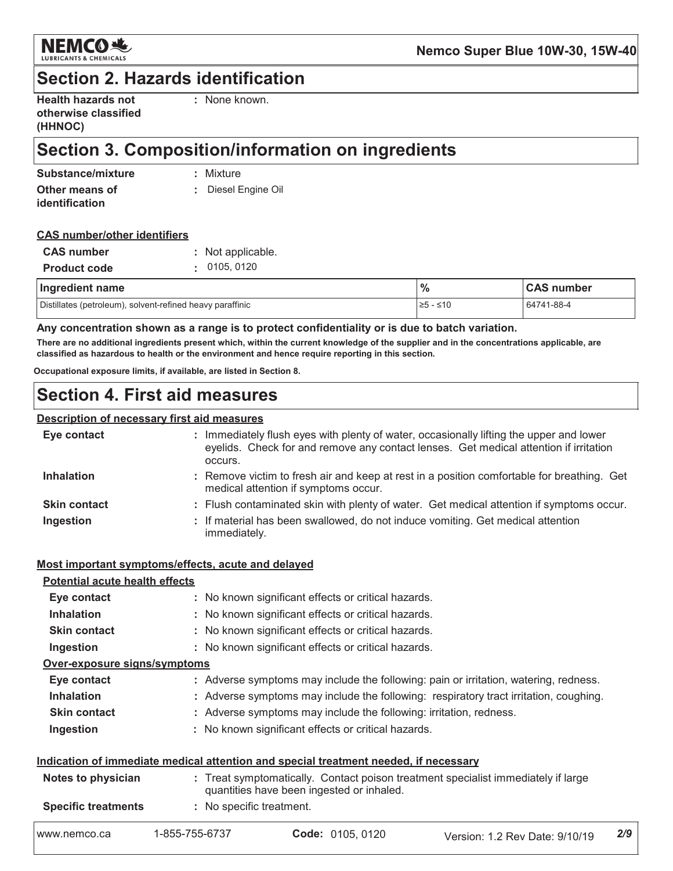

### **Section 2. Hazards identification**

| <b>Health hazards not</b> |  |
|---------------------------|--|
| otherwise classified      |  |
| (HHNOC)                   |  |

: None known.

# Section 3. Composition/information on ingredients

| Substance/mixture | : Mixture           |
|-------------------|---------------------|
| Other means of    | : Diesel Engine Oil |
| identification    |                     |

#### **CAS number/other identifiers**

| <b>CAS</b> number   | : Not applicable. |
|---------------------|-------------------|
| <b>Product code</b> | : 0105, 0120      |

| Ingredient name                                           | $\frac{0}{0}$ | <b>CAS number</b> |
|-----------------------------------------------------------|---------------|-------------------|
| Distillates (petroleum), solvent-refined heavy paraffinic | $\ge$ 5 - ≤10 | 64741-88-4        |

Any concentration shown as a range is to protect confidentiality or is due to batch variation.

There are no additional ingredients present which, within the current knowledge of the supplier and in the concentrations applicable, are classified as hazardous to health or the environment and hence require reporting in this section.

Occupational exposure limits, if available, are listed in Section 8.

### **Section 4. First aid measures**

#### Description of necessary first aid measures

| Eye contact         | : Immediately flush eyes with plenty of water, occasionally lifting the upper and lower<br>eyelids. Check for and remove any contact lenses. Get medical attention if irritation<br>occurs. |
|---------------------|---------------------------------------------------------------------------------------------------------------------------------------------------------------------------------------------|
| <b>Inhalation</b>   | : Remove victim to fresh air and keep at rest in a position comfortable for breathing. Get<br>medical attention if symptoms occur.                                                          |
| <b>Skin contact</b> | : Flush contaminated skin with plenty of water. Get medical attention if symptoms occur.                                                                                                    |
| Ingestion           | : If material has been swallowed, do not induce vomiting. Get medical attention<br>immediately.                                                                                             |

#### Most important symptoms/effects, acute and delayed

#### **Potential acute health effects**

| Eye contact                  | : No known significant effects or critical hazards.                                   |
|------------------------------|---------------------------------------------------------------------------------------|
| <b>Inhalation</b>            | : No known significant effects or critical hazards.                                   |
| <b>Skin contact</b>          | : No known significant effects or critical hazards.                                   |
| Ingestion                    | : No known significant effects or critical hazards.                                   |
| Over-exposure signs/symptoms |                                                                                       |
| Eye contact                  | : Adverse symptoms may include the following: pain or irritation, watering, redness.  |
| <b>Inhalation</b>            | : Adverse symptoms may include the following: respiratory tract irritation, coughing. |
| <b>Skin contact</b>          | : Adverse symptoms may include the following: irritation, redness.                    |
| Ingestion                    | : No known significant effects or critical hazards.                                   |
|                              |                                                                                       |

#### Indication of immediate medical attention and special treatment needed, if necessary

| Notes to physician         |                          | quantities have been ingested or inhaled. | : Treat symptomatically. Contact poison treatment specialist immediately if large |
|----------------------------|--------------------------|-------------------------------------------|-----------------------------------------------------------------------------------|
| <b>Specific treatments</b> | : No specific treatment. |                                           |                                                                                   |
| www.nemco.ca               | 1-855-755-6737           | Code: 0105, 0120                          | Version: 1.2 Rev Date: 9/10/19                                                    |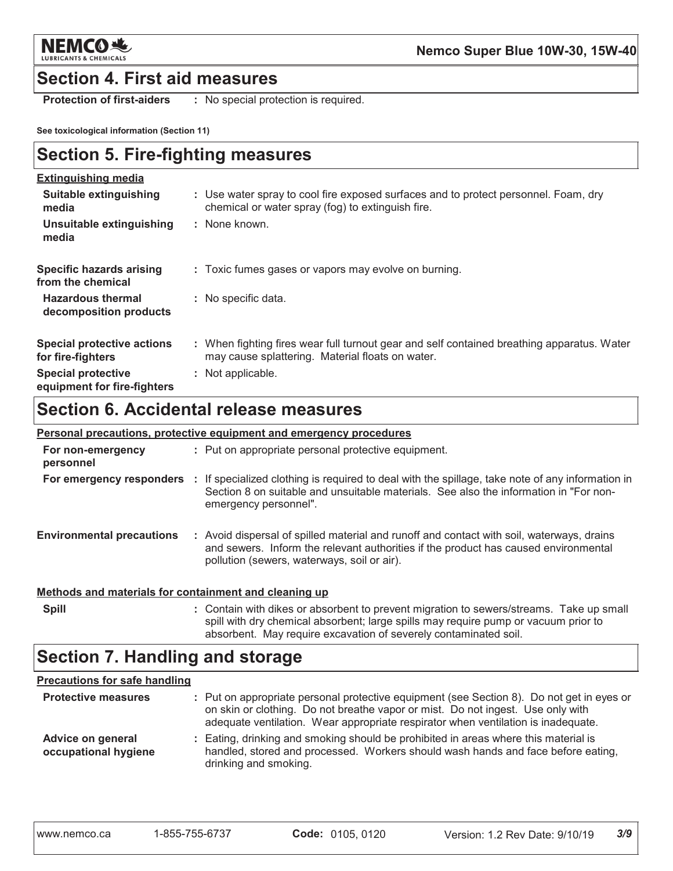

### **Section 4. First aid measures**

**Protection of first-aiders** : No special protection is required.

See toxicological information (Section 11)

# **Section 5. Fire-fighting measures**

| <b>Extinguishing media</b>                               |                                                                                                                                                |
|----------------------------------------------------------|------------------------------------------------------------------------------------------------------------------------------------------------|
| Suitable extinguishing<br>media                          | : Use water spray to cool fire exposed surfaces and to protect personnel. Foam, dry<br>chemical or water spray (fog) to extinguish fire.       |
| Unsuitable extinguishing<br>media                        | : None known.                                                                                                                                  |
| <b>Specific hazards arising</b><br>from the chemical     | : Toxic fumes gases or vapors may evolve on burning.                                                                                           |
| <b>Hazardous thermal</b><br>decomposition products       | : No specific data.                                                                                                                            |
| <b>Special protective actions</b><br>for fire-fighters   | : When fighting fires wear full turnout gear and self contained breathing apparatus. Water<br>may cause splattering. Material floats on water. |
| <b>Special protective</b><br>equipment for fire-fighters | : Not applicable.                                                                                                                              |

# **Section 6. Accidental release measures**

|                                                       | Personal precautions, protective equipment and emergency procedures                                                                                                                                                                         |
|-------------------------------------------------------|---------------------------------------------------------------------------------------------------------------------------------------------------------------------------------------------------------------------------------------------|
| For non-emergency<br>personnel                        | : Put on appropriate personal protective equipment.                                                                                                                                                                                         |
|                                                       | For emergency responders : If specialized clothing is required to deal with the spillage, take note of any information in<br>Section 8 on suitable and unsuitable materials. See also the information in "For non-<br>emergency personnel". |
| <b>Environmental precautions</b>                      | : Avoid dispersal of spilled material and runoff and contact with soil, waterways, drains<br>and sewers. Inform the relevant authorities if the product has caused environmental<br>pollution (sewers, waterways, soil or air).             |
| Methods and materials for containment and cleaning up |                                                                                                                                                                                                                                             |
| <b>Spill</b>                                          | : Contain with dikes or absorbent to prevent migration to sewers/streams. Take up small                                                                                                                                                     |

### absorbent. May require excavation of severely contaminated soil. **Section 7. Handling and storage**

#### **Precautions for safe handling**

| <b>Protective measures</b>                | : Put on appropriate personal protective equipment (see Section 8). Do not get in eyes or<br>on skin or clothing. Do not breathe vapor or mist. Do not ingest. Use only with<br>adequate ventilation. Wear appropriate respirator when ventilation is inadequate. |
|-------------------------------------------|-------------------------------------------------------------------------------------------------------------------------------------------------------------------------------------------------------------------------------------------------------------------|
| Advice on general<br>occupational hygiene | : Eating, drinking and smoking should be prohibited in areas where this material is<br>handled, stored and processed. Workers should wash hands and face before eating,<br>drinking and smoking.                                                                  |

spill with dry chemical absorbent; large spills may require pump or vacuum prior to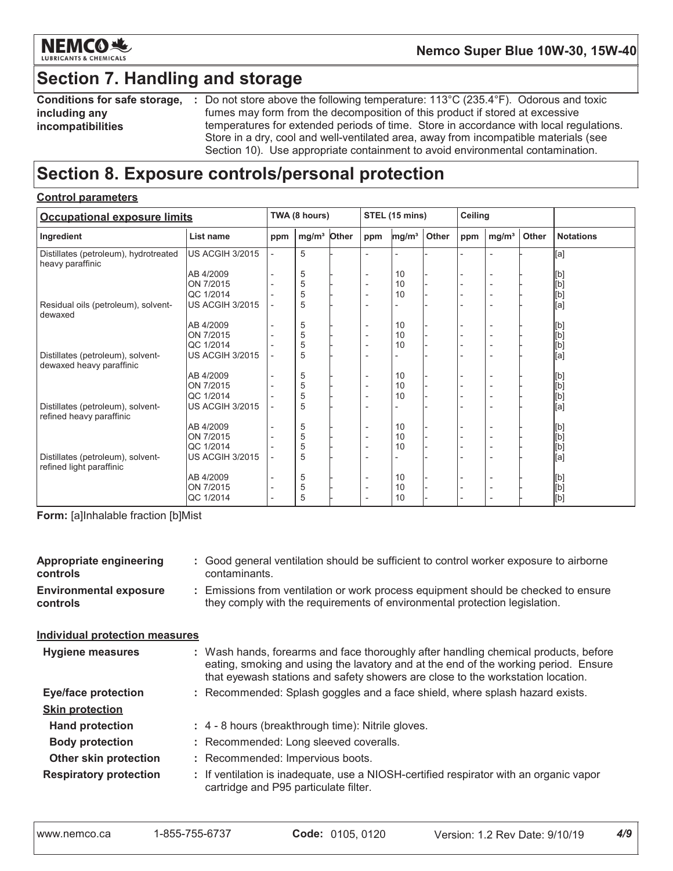

# **Section 7. Handling and storage**

| Conditions for safe storage, |
|------------------------------|
| including any                |
| incompatibilities            |

: Do not store above the following temperature: 113°C (235.4°F). Odorous and toxic fumes may form from the decomposition of this product if stored at excessive temperatures for extended periods of time. Store in accordance with local regulations. Store in a dry, cool and well-ventilated area, away from incompatible materials (see Section 10). Use appropriate containment to avoid environmental contamination.

### Section 8. Exposure controls/personal protection

#### **Control parameters**

| <b>Occupational exposure limits</b>                           |                        |     | TWA (8 hours)     |       | STEL (15 mins)           |                   | Ceiling |     |                          |       |                  |
|---------------------------------------------------------------|------------------------|-----|-------------------|-------|--------------------------|-------------------|---------|-----|--------------------------|-------|------------------|
| Ingredient                                                    | List name              | ppm | mg/m <sup>3</sup> | Other | ppm                      | mg/m <sup>3</sup> | Other   | ppm | mg/m <sup>3</sup>        | Other | <b>Notations</b> |
| Distillates (petroleum), hydrotreated<br>heavy paraffinic     | <b>US ACGIH 3/2015</b> |     | 5                 |       |                          |                   |         |     |                          |       | [a]              |
|                                                               | AB 4/2009              |     | 5                 |       |                          | 10                |         |     |                          |       | [b]              |
|                                                               | ON 7/2015              |     | 5                 |       | $\overline{\phantom{0}}$ | 10                |         |     | $\overline{a}$           |       | [b]              |
|                                                               | QC 1/2014              |     | 5                 |       |                          | 10                |         |     | $\overline{\phantom{a}}$ |       | [b]              |
| Residual oils (petroleum), solvent-<br>dewaxed                | <b>US ACGIH 3/2015</b> |     | 5                 |       | $\overline{a}$           |                   |         |     | ٠                        |       | [a]              |
|                                                               | AB 4/2009              |     | 5                 |       | $\overline{\phantom{0}}$ | 10                |         |     | $\overline{\phantom{a}}$ |       | [b]              |
|                                                               | ON 7/2015              |     | 5                 |       | $\overline{a}$           | 10                |         |     | $\overline{\phantom{a}}$ |       |                  |
|                                                               | QC 1/2014              |     | 5                 |       | $\overline{a}$           | 10                |         |     | $\overline{\phantom{a}}$ |       | id]<br>[b]       |
| Distillates (petroleum), solvent-<br>dewaxed heavy paraffinic | <b>US ACGIH 3/2015</b> |     | 5                 |       |                          |                   |         |     | $\overline{\phantom{a}}$ |       | [a]              |
|                                                               | AB 4/2009              |     | 5                 |       |                          | 10                |         |     | $\overline{\phantom{a}}$ |       |                  |
|                                                               | ON 7/2015              |     | 5                 |       | $\overline{a}$           | 10                |         |     | $\overline{\phantom{a}}$ |       | [b]<br>[b]       |
|                                                               | QC 1/2014              |     | 5                 |       | $\overline{a}$           | 10                |         |     | $\overline{\phantom{a}}$ |       |                  |
| Distillates (petroleum), solvent-<br>refined heavy paraffinic | US ACGIH 3/2015        |     | 5                 |       |                          |                   |         |     |                          |       | .<br>[b]<br>[a]  |
|                                                               | AB 4/2009              |     | 5                 |       | $\overline{a}$           | 10                |         |     | $\overline{\phantom{a}}$ |       | [b]              |
|                                                               | ON 7/2015              |     | 5                 |       |                          | 10                |         |     | $\overline{\phantom{a}}$ |       |                  |
|                                                               | QC 1/2014              |     | 5                 |       | $\overline{a}$           | 10                |         |     | $\overline{\phantom{a}}$ |       | [b]<br>[b]       |
| Distillates (petroleum), solvent-<br>refined light paraffinic | <b>US ACGIH 3/2015</b> |     | 5                 |       |                          |                   |         |     |                          |       | [a]              |
|                                                               | AB 4/2009              |     | 5                 |       | $\overline{a}$           | 10                |         |     | $\overline{\phantom{a}}$ |       |                  |
|                                                               | ON 7/2015              |     | 5                 |       |                          | 10                |         |     | $\overline{\phantom{a}}$ |       | [b]<br>[b]       |
|                                                               | QC 1/2014              |     | 5                 |       |                          | 10                |         |     | $\overline{\phantom{a}}$ |       | [b]              |

Form: [a]Inhalable fraction [b]Mist

| <b>Appropriate engineering</b><br><b>controls</b> |  | : Good general ventilation should be sufficient to control worker exposure to airborne<br>contaminants.                                                                                                                                                       |
|---------------------------------------------------|--|---------------------------------------------------------------------------------------------------------------------------------------------------------------------------------------------------------------------------------------------------------------|
| <b>Environmental exposure</b><br>controls         |  | : Emissions from ventilation or work process equipment should be checked to ensure<br>they comply with the requirements of environmental protection legislation.                                                                                              |
| <b>Individual protection measures</b>             |  |                                                                                                                                                                                                                                                               |
| <b>Hygiene measures</b>                           |  | : Wash hands, forearms and face thoroughly after handling chemical products, before<br>eating, smoking and using the lavatory and at the end of the working period. Ensure<br>that eyewash stations and safety showers are close to the workstation location. |
| <b>Eye/face protection</b>                        |  | : Recommended: Splash goggles and a face shield, where splash hazard exists.                                                                                                                                                                                  |
| <b>Skin protection</b>                            |  |                                                                                                                                                                                                                                                               |
| <b>Hand protection</b>                            |  | : 4 - 8 hours (breakthrough time): Nitrile gloves.                                                                                                                                                                                                            |
| <b>Body protection</b>                            |  | : Recommended: Long sleeved coveralls.                                                                                                                                                                                                                        |
| Other skin protection                             |  | : Recommended: Impervious boots.                                                                                                                                                                                                                              |
| <b>Respiratory protection</b>                     |  | : If ventilation is inadequate, use a NIOSH-certified respirator with an organic vapor<br>cartridge and P95 particulate filter.                                                                                                                               |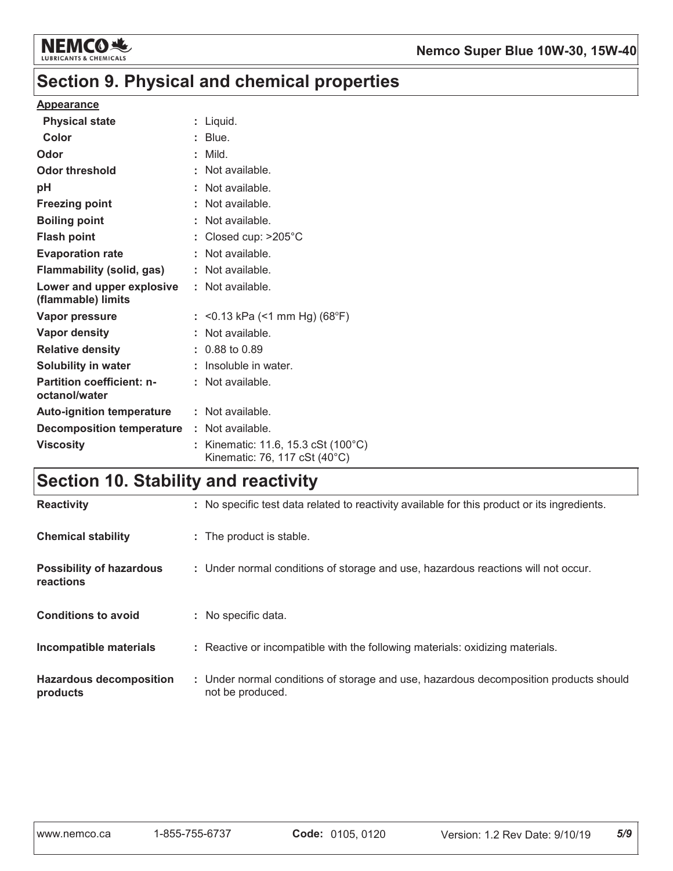

# Section 9. Physical and chemical properties

#### **Appearance**

| <b>Physical state</b>                             | $:$ Liquid.                                                        |
|---------------------------------------------------|--------------------------------------------------------------------|
| Color                                             | $:$ Blue.                                                          |
| Odor                                              | $:$ Mild.                                                          |
| <b>Odor threshold</b>                             | : Not available.                                                   |
| рH                                                | : Not available.                                                   |
| <b>Freezing point</b>                             | : Not available.                                                   |
| <b>Boiling point</b>                              | : Not available.                                                   |
| <b>Flash point</b>                                | : Closed cup: $>205^{\circ}$ C                                     |
| <b>Evaporation rate</b>                           | : Not available.                                                   |
| <b>Flammability (solid, gas)</b>                  | : Not available.                                                   |
| Lower and upper explosive<br>(flammable) limits   | $:$ Not available.                                                 |
| Vapor pressure                                    | : < 0.13 kPa (< 1 mm Hg) (68°F)                                    |
| Vapor density                                     | : Not available.                                                   |
| <b>Relative density</b>                           | $: 0.88$ to 0.89                                                   |
| Solubility in water                               | : Insoluble in water.                                              |
| <b>Partition coefficient: n-</b><br>octanol/water | $:$ Not available.                                                 |
| <b>Auto-ignition temperature</b>                  | : Not available.                                                   |
| <b>Decomposition temperature</b>                  | : Not available.                                                   |
| <b>Viscosity</b>                                  | Kinematic: 11.6, 15.3 cSt (100°C)<br>Kinematic: 76, 117 cSt (40°C) |

# **Section 10. Stability and reactivity**

| <b>Reactivity</b>                            | : No specific test data related to reactivity available for this product or its ingredients.              |
|----------------------------------------------|-----------------------------------------------------------------------------------------------------------|
| <b>Chemical stability</b>                    | : The product is stable.                                                                                  |
| <b>Possibility of hazardous</b><br>reactions | : Under normal conditions of storage and use, hazardous reactions will not occur.                         |
| <b>Conditions to avoid</b>                   | : No specific data.                                                                                       |
| Incompatible materials                       | : Reactive or incompatible with the following materials: oxidizing materials.                             |
| <b>Hazardous decomposition</b><br>products   | : Under normal conditions of storage and use, hazardous decomposition products should<br>not be produced. |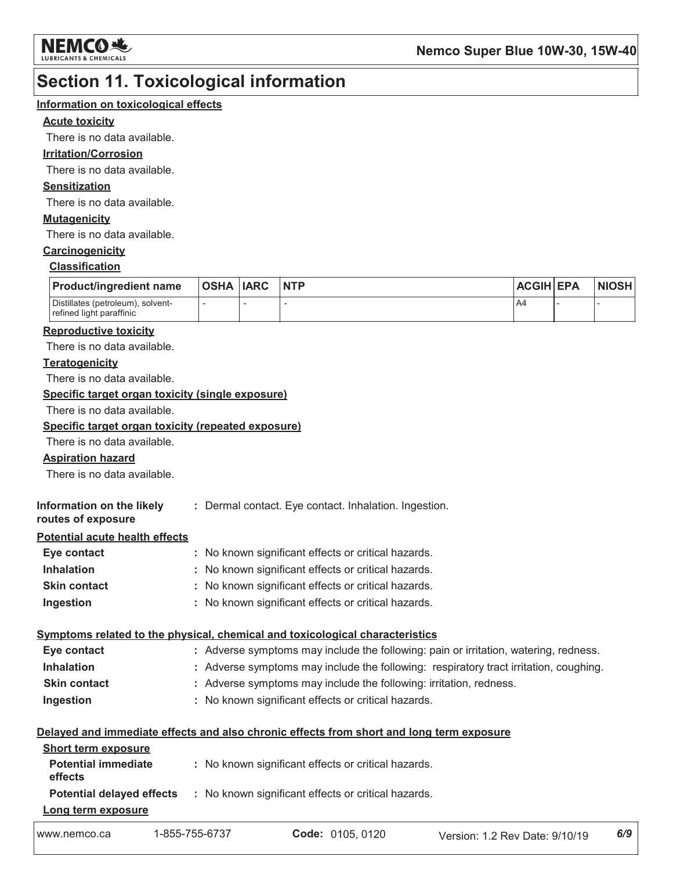

### **Section 11. Toxicological information**

#### Information on toxicological effects

#### **Acute toxicity**

There is no data available.

#### **Irritation/Corrosion**

There is no data available.

#### **Sensitization**

There is no data available.

#### **Mutagenicity**

There is no data available.

### Carcinogenicity

### **Classification**

| Product/ingredient name                                       | <b>OSHA IARC</b> | <b>INTP</b> | <b>ACGIH EPA</b> | <b>NIOSH</b> |
|---------------------------------------------------------------|------------------|-------------|------------------|--------------|
| Distillates (petroleum), solvent-<br>refined light paraffinic |                  |             | A4               |              |

#### **Reproductive toxicity**

There is no data available.

#### **Teratogenicity**

There is no data available.

#### Specific target organ toxicity (single exposure)

There is no data available.

#### Specific target organ toxicity (repeated exposure)

There is no data available.

#### **Aspiration hazard**

There is no data available.

| Information on the likely | : Dermal contact. Eye contact. Inhalation. Ingestion |
|---------------------------|------------------------------------------------------|
| routes of exposure        |                                                      |

#### **Potential acute health effects**

| Eye contact         | : No known significant effects or critical hazards. |
|---------------------|-----------------------------------------------------|
| <b>Inhalation</b>   | : No known significant effects or critical hazards. |
| <b>Skin contact</b> | : No known significant effects or critical hazards. |
| Ingestion           | : No known significant effects or critical hazards. |

#### Symptoms related to the physical, chemical and toxicological characteristics

| Eye contact         | : Adverse symptoms may include the following: pain or irritation, watering, redness.  |
|---------------------|---------------------------------------------------------------------------------------|
| <b>Inhalation</b>   | : Adverse symptoms may include the following: respiratory tract irritation, coughing. |
| <b>Skin contact</b> | : Adverse symptoms may include the following: irritation, redness.                    |
| Ingestion           | : No known significant effects or critical hazards.                                   |

#### Delayed and immediate effects and also chronic effects from short and long term exposure

| <b>Short term exposure</b>            |                                                     |
|---------------------------------------|-----------------------------------------------------|
| <b>Potential immediate</b><br>effects | : No known significant effects or critical hazards. |
| <b>Potential delayed effects</b>      | : No known significant effects or critical hazards. |
| Long term exposure                    |                                                     |
|                                       |                                                     |

Code: 0105, 0120 www.nemco.ca 1-855-755-6737 Version: 1.2 Rev Date: 9/10/19  $6/9$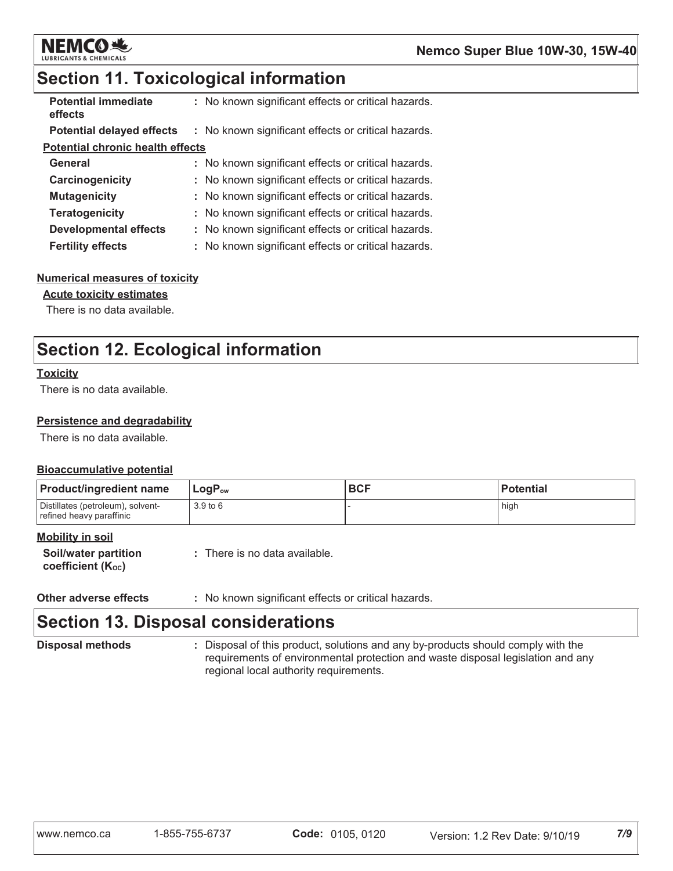

### **Section 11. Toxicological information**

| <b>Potential immediate</b><br>effects   | : No known significant effects or critical hazards. |
|-----------------------------------------|-----------------------------------------------------|
| <b>Potential delayed effects</b>        | : No known significant effects or critical hazards. |
| <b>Potential chronic health effects</b> |                                                     |
| General                                 | : No known significant effects or critical hazards. |
| Carcinogenicity                         | : No known significant effects or critical hazards. |
| <b>Mutagenicity</b>                     | : No known significant effects or critical hazards. |
| <b>Teratogenicity</b>                   | : No known significant effects or critical hazards. |
| <b>Developmental effects</b>            | : No known significant effects or critical hazards. |
| <b>Fertility effects</b>                | : No known significant effects or critical hazards. |
|                                         |                                                     |

#### **Numerical measures of toxicity**

#### **Acute toxicity estimates**

There is no data available.

### **Section 12. Ecological information**

#### **Toxicity**

There is no data available.

#### Persistence and degradability

There is no data available.

#### **Bioaccumulative potential**

| <b>Product/ingredient name</b>                                | $LogP_{ow}$ | <b>BCF</b> | <b>Potential</b> |
|---------------------------------------------------------------|-------------|------------|------------------|
| Distillates (petroleum), solvent-<br>refined heavy paraffinic | 3.9 to 6    |            | high             |

#### **Mobility in soil**

| <b>Soil/water partition</b>    | : There is no data available. |
|--------------------------------|-------------------------------|
| coefficient (K <sub>oc</sub> ) |                               |

**Other adverse effects** : No known significant effects or critical hazards.

# **Section 13. Disposal considerations**

**Disposal methods** 

: Disposal of this product, solutions and any by-products should comply with the requirements of environmental protection and waste disposal legislation and any regional local authority requirements.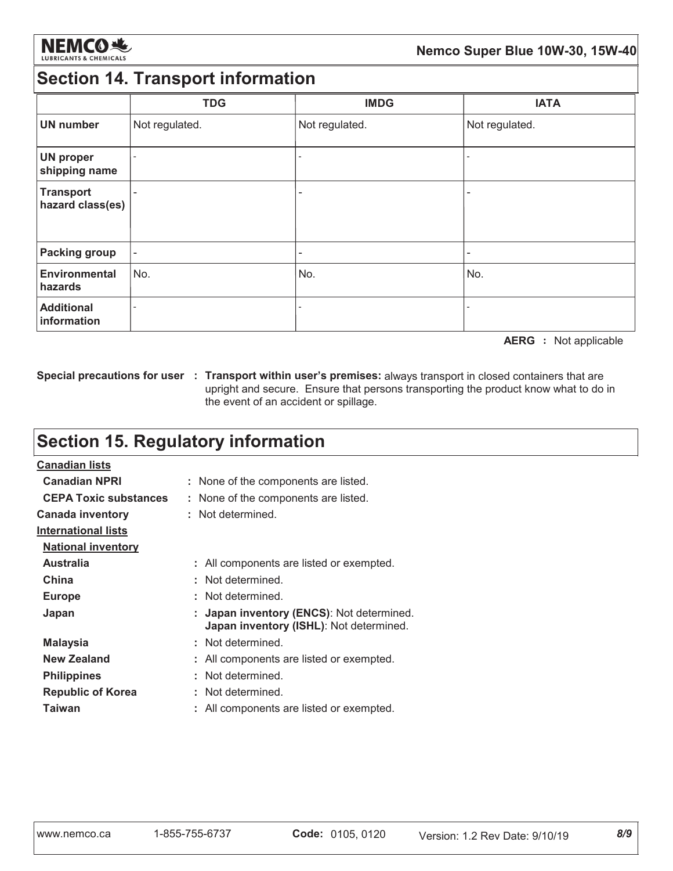

### **Section 14. Transport information**

|                                      | <b>TDG</b>               | <b>IMDG</b>              | <b>IATA</b>    |
|--------------------------------------|--------------------------|--------------------------|----------------|
| <b>UN number</b>                     | Not regulated.           | Not regulated.           | Not regulated. |
| <b>UN proper</b><br>shipping name    | $\overline{a}$           |                          |                |
| <b>Transport</b><br>hazard class(es) | $\qquad \qquad$          |                          |                |
| <b>Packing group</b>                 | $\overline{\phantom{a}}$ | $\overline{\phantom{0}}$ | -              |
| <b>Environmental</b><br>hazards      | No.                      | No.                      | No.            |
| <b>Additional</b><br>information     | $\overline{\phantom{0}}$ |                          |                |

**AERG** : Not applicable

Special precautions for user : Transport within user's premises: always transport in closed containers that are upright and secure. Ensure that persons transporting the product know what to do in the event of an accident or spillage.

# **Section 15. Regulatory information**

| <b>Canadian lists</b>        |                                                                                      |
|------------------------------|--------------------------------------------------------------------------------------|
| <b>Canadian NPRI</b>         | : None of the components are listed.                                                 |
| <b>CEPA Toxic substances</b> | : None of the components are listed.                                                 |
| <b>Canada inventory</b>      | : Not determined.                                                                    |
| <b>International lists</b>   |                                                                                      |
| <b>National inventory</b>    |                                                                                      |
| <b>Australia</b>             | : All components are listed or exempted.                                             |
| China                        | : Not determined.                                                                    |
| <b>Europe</b>                | : Not determined.                                                                    |
| Japan                        | : Japan inventory (ENCS): Not determined.<br>Japan inventory (ISHL): Not determined. |
| <b>Malaysia</b>              | : Not determined.                                                                    |
| <b>New Zealand</b>           | : All components are listed or exempted.                                             |
| <b>Philippines</b>           | : Not determined.                                                                    |
| <b>Republic of Korea</b>     | : Not determined.                                                                    |
| Taiwan                       | : All components are listed or exempted.                                             |
|                              |                                                                                      |